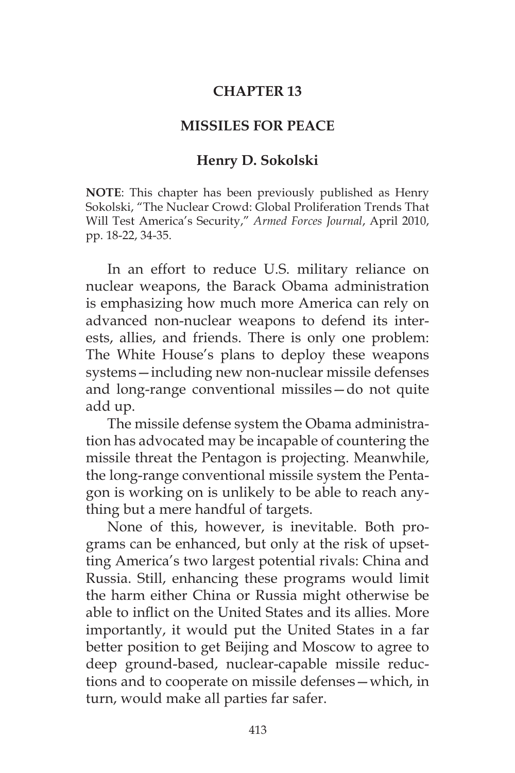## **CHAPTER 13**

# **MISSILES FOR PEACE**

## **Henry D. Sokolski**

**NOTE**: This chapter has been previously published as Henry Sokolski, "The Nuclear Crowd: Global Proliferation Trends That Will Test America's Security," *Armed Forces Journal*, April 2010, pp. 18-22, 34-35.

In an effort to reduce U.S. military reliance on nuclear weapons, the Barack Obama administration is emphasizing how much more America can rely on advanced non-nuclear weapons to defend its interests, allies, and friends. There is only one problem: The White House's plans to deploy these weapons systems—including new non-nuclear missile defenses and long-range conventional missiles—do not quite add up.

The missile defense system the Obama administration has advocated may be incapable of countering the missile threat the Pentagon is projecting. Meanwhile, the long-range conventional missile system the Pentagon is working on is unlikely to be able to reach anything but a mere handful of targets.

None of this, however, is inevitable. Both programs can be enhanced, but only at the risk of upsetting America's two largest potential rivals: China and Russia. Still, enhancing these programs would limit the harm either China or Russia might otherwise be able to inflict on the United States and its allies. More importantly, it would put the United States in a far better position to get Beijing and Moscow to agree to deep ground-based, nuclear-capable missile reductions and to cooperate on missile defenses—which, in turn, would make all parties far safer.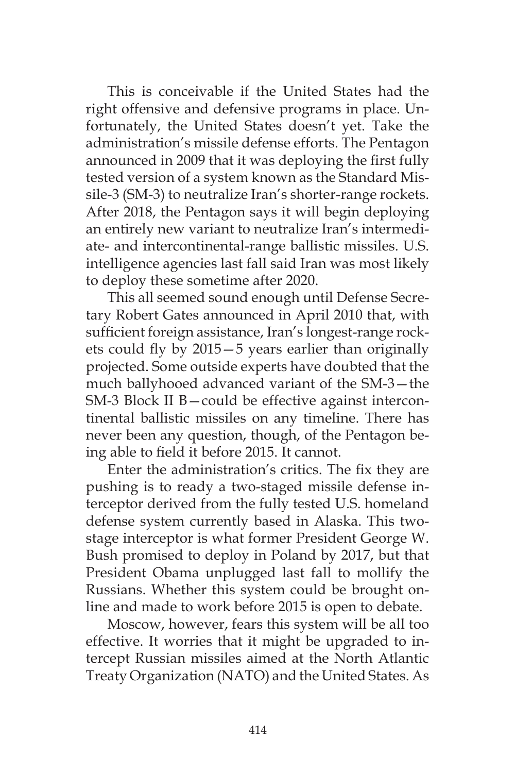This is conceivable if the United States had the right offensive and defensive programs in place. Unfortunately, the United States doesn't yet. Take the administration's missile defense efforts. The Pentagon announced in 2009 that it was deploying the first fully tested version of a system known as the Standard Missile-3 (SM-3) to neutralize Iran's shorter-range rockets. After 2018, the Pentagon says it will begin deploying an entirely new variant to neutralize Iran's intermediate- and intercontinental-range ballistic missiles. U.S. intelligence agencies last fall said Iran was most likely to deploy these sometime after 2020.

This all seemed sound enough until Defense Secretary Robert Gates announced in April 2010 that, with sufficient foreign assistance, Iran's longest-range rockets could fly by 2015—5 years earlier than originally projected. Some outside experts have doubted that the much ballyhooed advanced variant of the SM-3—the SM-3 Block II B—could be effective against intercontinental ballistic missiles on any timeline. There has never been any question, though, of the Pentagon being able to field it before 2015. It cannot.

Enter the administration's critics. The fix they are pushing is to ready a two-staged missile defense interceptor derived from the fully tested U.S. homeland defense system currently based in Alaska. This twostage interceptor is what former President George W. Bush promised to deploy in Poland by 2017, but that President Obama unplugged last fall to mollify the Russians. Whether this system could be brought online and made to work before 2015 is open to debate.

Moscow, however, fears this system will be all too effective. It worries that it might be upgraded to intercept Russian missiles aimed at the North Atlantic Treaty Organization (NATO) and the United States. As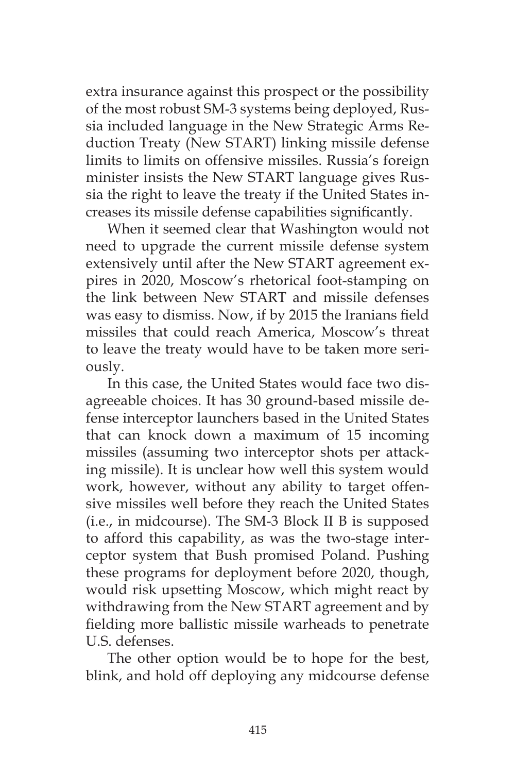extra insurance against this prospect or the possibility of the most robust SM-3 systems being deployed, Russia included language in the New Strategic Arms Reduction Treaty (New START) linking missile defense limits to limits on offensive missiles. Russia's foreign minister insists the New START language gives Russia the right to leave the treaty if the United States increases its missile defense capabilities significantly.

When it seemed clear that Washington would not need to upgrade the current missile defense system extensively until after the New START agreement expires in 2020, Moscow's rhetorical foot-stamping on the link between New START and missile defenses was easy to dismiss. Now, if by 2015 the Iranians field missiles that could reach America, Moscow's threat to leave the treaty would have to be taken more seriously.

In this case, the United States would face two disagreeable choices. It has 30 ground-based missile defense interceptor launchers based in the United States that can knock down a maximum of 15 incoming missiles (assuming two interceptor shots per attacking missile). It is unclear how well this system would work, however, without any ability to target offensive missiles well before they reach the United States (i.e., in midcourse). The SM-3 Block II B is supposed to afford this capability, as was the two-stage interceptor system that Bush promised Poland. Pushing these programs for deployment before 2020, though, would risk upsetting Moscow, which might react by withdrawing from the New START agreement and by fielding more ballistic missile warheads to penetrate U.S. defenses.

The other option would be to hope for the best, blink, and hold off deploying any midcourse defense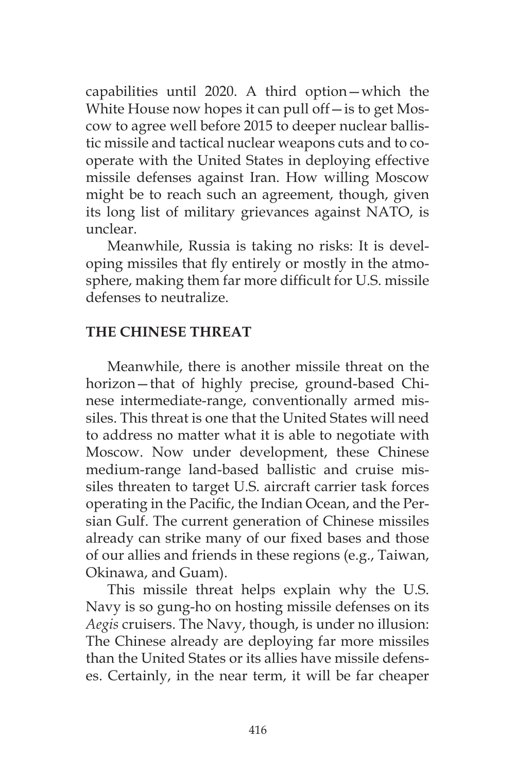capabilities until 2020. A third option—which the White House now hopes it can pull off—is to get Moscow to agree well before 2015 to deeper nuclear ballistic missile and tactical nuclear weapons cuts and to cooperate with the United States in deploying effective missile defenses against Iran. How willing Moscow might be to reach such an agreement, though, given its long list of military grievances against NATO, is unclear.

Meanwhile, Russia is taking no risks: It is developing missiles that fly entirely or mostly in the atmosphere, making them far more difficult for U.S. missile defenses to neutralize.

## **THE CHINESE THREAT**

Meanwhile, there is another missile threat on the horizon—that of highly precise, ground-based Chinese intermediate-range, conventionally armed missiles. This threat is one that the United States will need to address no matter what it is able to negotiate with Moscow. Now under development, these Chinese medium-range land-based ballistic and cruise missiles threaten to target U.S. aircraft carrier task forces operating in the Pacific, the Indian Ocean, and the Persian Gulf. The current generation of Chinese missiles already can strike many of our fixed bases and those of our allies and friends in these regions (e.g., Taiwan, Okinawa, and Guam).

This missile threat helps explain why the U.S. Navy is so gung-ho on hosting missile defenses on its *Aegis* cruisers. The Navy, though, is under no illusion: The Chinese already are deploying far more missiles than the United States or its allies have missile defenses. Certainly, in the near term, it will be far cheaper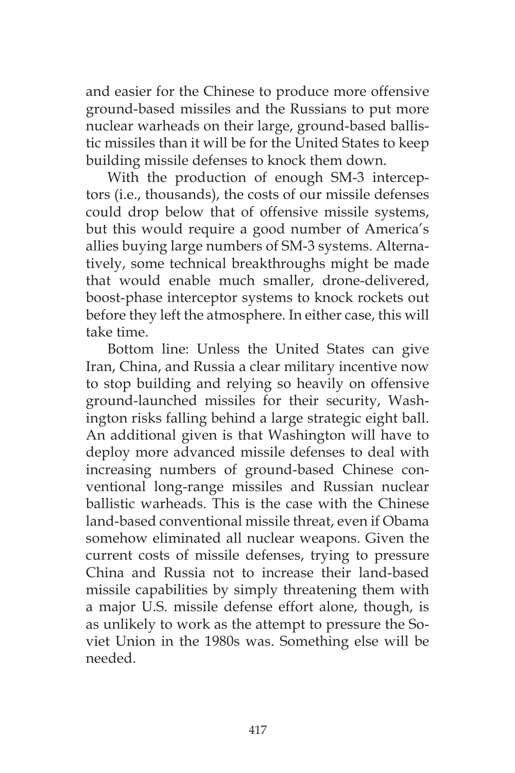and easier for the Chinese to produce more offensive ground-based missiles and the Russians to put more nuclear warheads on their large, ground-based ballistic missiles than it will be for the United States to keep building missile defenses to knock them down.

With the production of enough SM-3 interceptors (i.e., thousands), the costs of our missile defenses could drop below that of offensive missile systems, but this would require a good number of America's allies buying large numbers of SM-3 systems. Alternatively, some technical breakthroughs might be made that would enable much smaller, drone-delivered, boost-phase interceptor systems to knock rockets out before they left the atmosphere. In either case, this will take time.

Bottom line: Unless the United States can give Iran, China, and Russia a clear military incentive now to stop building and relying so heavily on offensive ground-launched missiles for their security, Washington risks falling behind a large strategic eight ball. An additional given is that Washington will have to deploy more advanced missile defenses to deal with increasing numbers of ground-based Chinese conventional long-range missiles and Russian nuclear ballistic warheads. This is the case with the Chinese land-based conventional missile threat, even if Obama somehow eliminated all nuclear weapons. Given the current costs of missile defenses, trying to pressure China and Russia not to increase their land-based missile capabilities by simply threatening them with a major U.S. missile defense effort alone, though, is as unlikely to work as the attempt to pressure the Soviet Union in the 1980s was. Something else will be needed.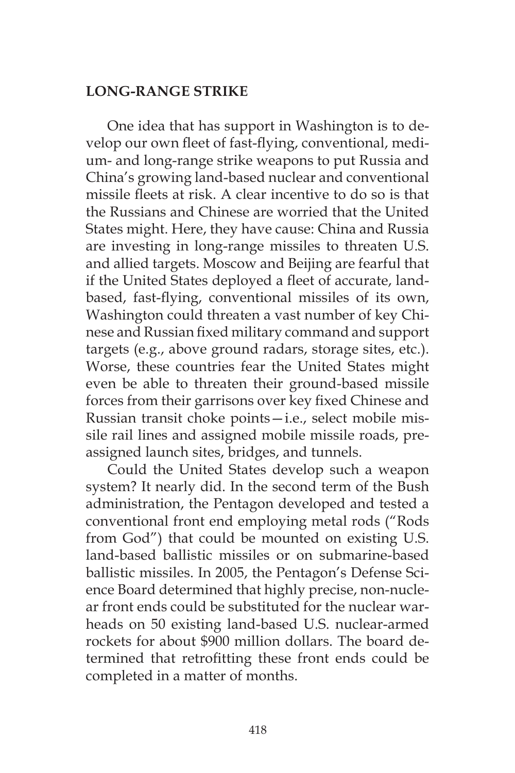## **LONG-RANGE STRIKE**

One idea that has support in Washington is to develop our own fleet of fast-flying, conventional, medium- and long-range strike weapons to put Russia and China's growing land-based nuclear and conventional missile fleets at risk. A clear incentive to do so is that the Russians and Chinese are worried that the United States might. Here, they have cause: China and Russia are investing in long-range missiles to threaten U.S. and allied targets. Moscow and Beijing are fearful that if the United States deployed a fleet of accurate, landbased, fast-flying, conventional missiles of its own, Washington could threaten a vast number of key Chinese and Russian fixed military command and support targets (e.g., above ground radars, storage sites, etc.). Worse, these countries fear the United States might even be able to threaten their ground-based missile forces from their garrisons over key fixed Chinese and Russian transit choke points—i.e., select mobile missile rail lines and assigned mobile missile roads, preassigned launch sites, bridges, and tunnels.

Could the United States develop such a weapon system? It nearly did. In the second term of the Bush administration, the Pentagon developed and tested a conventional front end employing metal rods ("Rods from God") that could be mounted on existing U.S. land-based ballistic missiles or on submarine-based ballistic missiles. In 2005, the Pentagon's Defense Science Board determined that highly precise, non-nuclear front ends could be substituted for the nuclear warheads on 50 existing land-based U.S. nuclear-armed rockets for about \$900 million dollars. The board determined that retrofitting these front ends could be completed in a matter of months.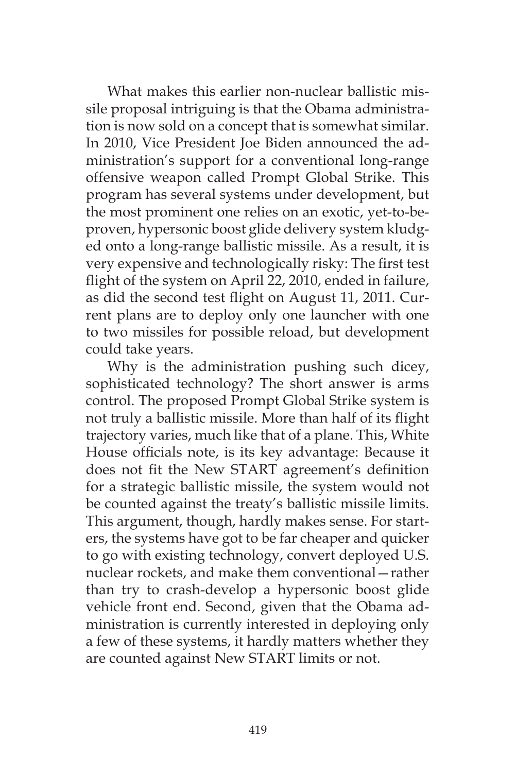What makes this earlier non-nuclear ballistic missile proposal intriguing is that the Obama administration is now sold on a concept that is somewhat similar. In 2010, Vice President Joe Biden announced the administration's support for a conventional long-range offensive weapon called Prompt Global Strike. This program has several systems under development, but the most prominent one relies on an exotic, yet-to-beproven, hypersonic boost glide delivery system kludged onto a long-range ballistic missile. As a result, it is very expensive and technologically risky: The first test flight of the system on April 22, 2010, ended in failure, as did the second test flight on August 11, 2011. Current plans are to deploy only one launcher with one to two missiles for possible reload, but development could take years.

Why is the administration pushing such dicey, sophisticated technology? The short answer is arms control. The proposed Prompt Global Strike system is not truly a ballistic missile. More than half of its flight trajectory varies, much like that of a plane. This, White House officials note, is its key advantage: Because it does not fit the New START agreement's definition for a strategic ballistic missile, the system would not be counted against the treaty's ballistic missile limits. This argument, though, hardly makes sense. For starters, the systems have got to be far cheaper and quicker to go with existing technology, convert deployed U.S. nuclear rockets, and make them conventional—rather than try to crash-develop a hypersonic boost glide vehicle front end. Second, given that the Obama administration is currently interested in deploying only a few of these systems, it hardly matters whether they are counted against New START limits or not.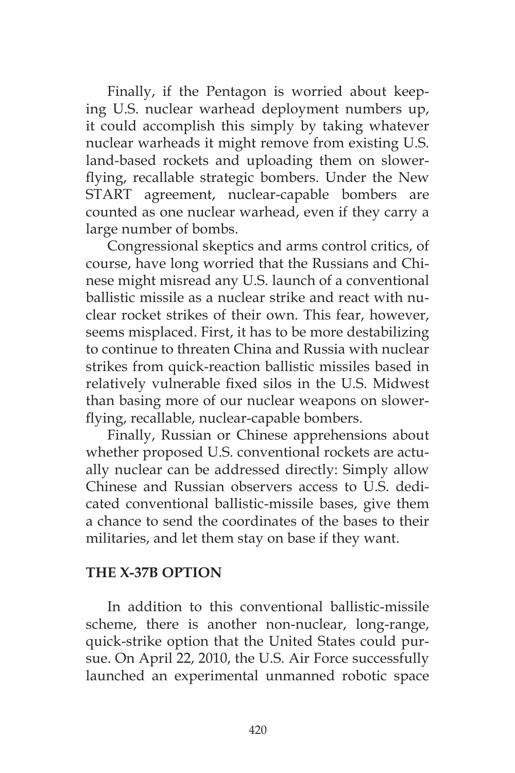Finally, if the Pentagon is worried about keeping U.S. nuclear warhead deployment numbers up, it could accomplish this simply by taking whatever nuclear warheads it might remove from existing U.S. land-based rockets and uploading them on slowerflying, recallable strategic bombers. Under the New START agreement, nuclear-capable bombers are counted as one nuclear warhead, even if they carry a large number of bombs.

Congressional skeptics and arms control critics, of course, have long worried that the Russians and Chinese might misread any U.S. launch of a conventional ballistic missile as a nuclear strike and react with nuclear rocket strikes of their own. This fear, however, seems misplaced. First, it has to be more destabilizing to continue to threaten China and Russia with nuclear strikes from quick-reaction ballistic missiles based in relatively vulnerable fixed silos in the U.S. Midwest than basing more of our nuclear weapons on slowerflying, recallable, nuclear-capable bombers.

Finally, Russian or Chinese apprehensions about whether proposed U.S. conventional rockets are actually nuclear can be addressed directly: Simply allow Chinese and Russian observers access to U.S. dedicated conventional ballistic-missile bases, give them a chance to send the coordinates of the bases to their militaries, and let them stay on base if they want.

#### **THE X-37B OPTION**

In addition to this conventional ballistic-missile scheme, there is another non-nuclear, long-range, quick-strike option that the United States could pursue. On April 22, 2010, the U.S. Air Force successfully launched an experimental unmanned robotic space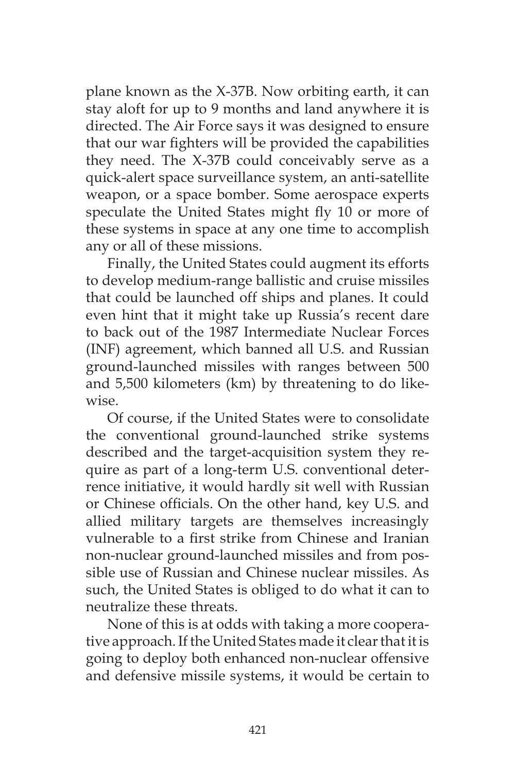plane known as the X-37B. Now orbiting earth, it can stay aloft for up to 9 months and land anywhere it is directed. The Air Force says it was designed to ensure that our war fighters will be provided the capabilities they need. The X-37B could conceivably serve as a quick-alert space surveillance system, an anti-satellite weapon, or a space bomber. Some aerospace experts speculate the United States might fly 10 or more of these systems in space at any one time to accomplish any or all of these missions.

Finally, the United States could augment its efforts to develop medium-range ballistic and cruise missiles that could be launched off ships and planes. It could even hint that it might take up Russia's recent dare to back out of the 1987 Intermediate Nuclear Forces (INF) agreement, which banned all U.S. and Russian ground-launched missiles with ranges between 500 and 5,500 kilometers (km) by threatening to do likewise.

Of course, if the United States were to consolidate the conventional ground-launched strike systems described and the target-acquisition system they require as part of a long-term U.S. conventional deterrence initiative, it would hardly sit well with Russian or Chinese officials. On the other hand, key U.S. and allied military targets are themselves increasingly vulnerable to a first strike from Chinese and Iranian non-nuclear ground-launched missiles and from possible use of Russian and Chinese nuclear missiles. As such, the United States is obliged to do what it can to neutralize these threats.

None of this is at odds with taking a more cooperative approach. If the United States made it clear that it is going to deploy both enhanced non-nuclear offensive and defensive missile systems, it would be certain to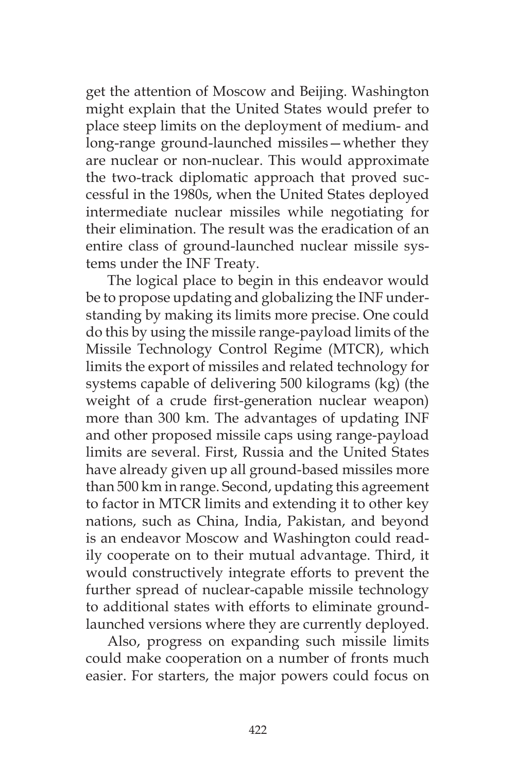get the attention of Moscow and Beijing. Washington might explain that the United States would prefer to place steep limits on the deployment of medium- and long-range ground-launched missiles—whether they are nuclear or non-nuclear. This would approximate the two-track diplomatic approach that proved successful in the 1980s, when the United States deployed intermediate nuclear missiles while negotiating for their elimination. The result was the eradication of an entire class of ground-launched nuclear missile systems under the INF Treaty.

The logical place to begin in this endeavor would be to propose updating and globalizing the INF understanding by making its limits more precise. One could do this by using the missile range-payload limits of the Missile Technology Control Regime (MTCR), which limits the export of missiles and related technology for systems capable of delivering 500 kilograms (kg) (the weight of a crude first-generation nuclear weapon) more than 300 km. The advantages of updating INF and other proposed missile caps using range-payload limits are several. First, Russia and the United States have already given up all ground-based missiles more than 500 km in range. Second, updating this agreement to factor in MTCR limits and extending it to other key nations, such as China, India, Pakistan, and beyond is an endeavor Moscow and Washington could readily cooperate on to their mutual advantage. Third, it would constructively integrate efforts to prevent the further spread of nuclear-capable missile technology to additional states with efforts to eliminate groundlaunched versions where they are currently deployed.

Also, progress on expanding such missile limits could make cooperation on a number of fronts much easier. For starters, the major powers could focus on